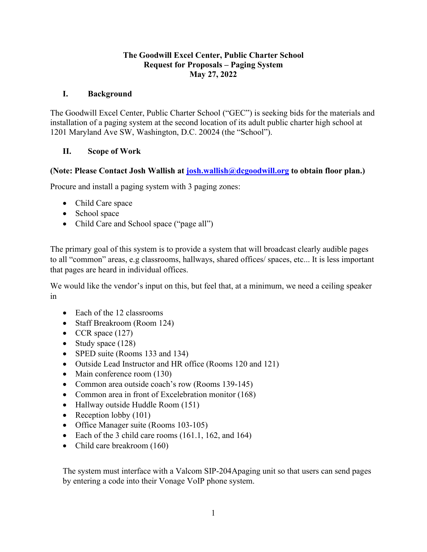#### **The Goodwill Excel Center, Public Charter School Request for Proposals – Paging System May 27, 2022**

## **I. Background**

The Goodwill Excel Center, Public Charter School ("GEC") is seeking bids for the materials and installation of a paging system at the second location of its adult public charter high school at 1201 Maryland Ave SW, Washington, D.C. 20024 (the "School").

## **II. Scope of Work**

## **(Note: Please Contact Josh Wallish at [josh.wallish@dcgoodwill.org](mailto:josh.wallish@dcgoodwill.org) to obtain floor plan.)**

Procure and install a paging system with 3 paging zones:

- Child Care space
- School space
- Child Care and School space ("page all")

The primary goal of this system is to provide a system that will broadcast clearly audible pages to all "common" areas, e.g classrooms, hallways, shared offices/ spaces, etc... It is less important that pages are heard in individual offices.

We would like the vendor's input on this, but feel that, at a minimum, we need a ceiling speaker in

- Each of the 12 classrooms
- Staff Breakroom (Room 124)
- CCR space  $(127)$
- Study space (128)
- SPED suite (Rooms 133 and 134)
- Outside Lead Instructor and HR office (Rooms 120 and 121)
- Main conference room (130)
- Common area outside coach's row (Rooms 139-145)
- Common area in front of Excelebration monitor (168)
- Hallway outside Huddle Room (151)
- Reception lobby (101)
- Office Manager suite (Rooms 103-105)
- Each of the 3 child care rooms (161.1, 162, and 164)
- Child care breakroom (160)

The system must interface with a Valcom SIP-204Apaging unit so that users can send pages by entering a code into their Vonage VoIP phone system.